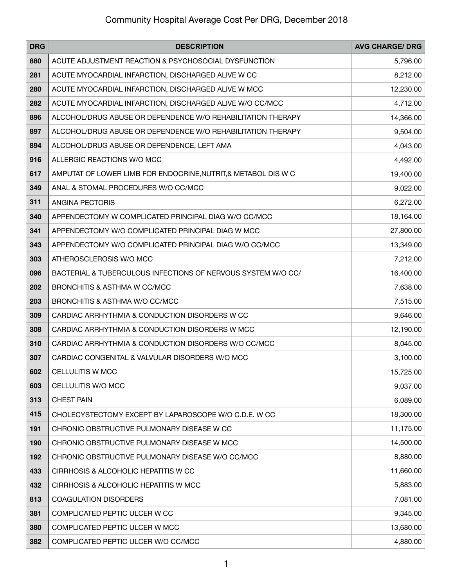| <b>DRG</b> | <b>DESCRIPTION</b>                                             | <b>AVG CHARGE/ DRG</b> |
|------------|----------------------------------------------------------------|------------------------|
| 880        | ACUTE ADJUSTMENT REACTION & PSYCHOSOCIAL DYSFUNCTION           | 5,796.00               |
| 281        | ACUTE MYOCARDIAL INFARCTION, DISCHARGED ALIVE W CC             | 8,212.00               |
| 280        | ACUTE MYOCARDIAL INFARCTION, DISCHARGED ALIVE W MCC            | 12,230.00              |
| 282        | ACUTE MYOCARDIAL INFARCTION, DISCHARGED ALIVE W/O CC/MCC       | 4,712.00               |
| 896        | ALCOHOL/DRUG ABUSE OR DEPENDENCE W/O REHABILITATION THERAPY    | 14,366.00              |
| 897        | ALCOHOL/DRUG ABUSE OR DEPENDENCE W/O REHABILITATION THERAPY    | 9,504.00               |
| 894        | ALCOHOL/DRUG ABUSE OR DEPENDENCE, LEFT AMA                     | 4,043.00               |
| 916        | ALLERGIC REACTIONS W/O MCC                                     | 4,492.00               |
| 617        | AMPUTAT OF LOWER LIMB FOR ENDOCRINE, NUTRIT, & METABOL DIS W C | 19,400.00              |
| 349        | ANAL & STOMAL PROCEDURES W/O CC/MCC                            | 9,022.00               |
| 311        | ANGINA PECTORIS                                                | 6,272.00               |
| 340        | APPENDECTOMY W COMPLICATED PRINCIPAL DIAG W/O CC/MCC           | 18,164.00              |
| 341        | APPENDECTOMY W/O COMPLICATED PRINCIPAL DIAG W MCC              | 27,800.00              |
| 343        | APPENDECTOMY W/O COMPLICATED PRINCIPAL DIAG W/O CC/MCC         | 13,349.00              |
| 303        | ATHEROSCLEROSIS W/O MCC                                        | 7,212.00               |
| 096        | BACTERIAL & TUBERCULOUS INFECTIONS OF NERVOUS SYSTEM W/O CC/   | 16,400.00              |
| 202        | BRONCHITIS & ASTHMA W CC/MCC                                   | 7,638.00               |
| 203        | BRONCHITIS & ASTHMA W/O CC/MCC                                 | 7,515.00               |
| 309        | CARDIAC ARRHYTHMIA & CONDUCTION DISORDERS W CC                 | 9,646.00               |
| 308        | CARDIAC ARRHYTHMIA & CONDUCTION DISORDERS W MCC                | 12,190.00              |
| 310        | CARDIAC ARRHYTHMIA & CONDUCTION DISORDERS W/O CC/MCC           | 8,045.00               |
| 307        | CARDIAC CONGENITAL & VALVULAR DISORDERS W/O MCC                | 3,100.00               |
| 602        | <b>CELLULITIS W MCC</b>                                        | 15,725.00              |
| 603        | CELLULITIS W/O MCC                                             | 9,037.00               |
| 313        | <b>CHEST PAIN</b>                                              | 6,089.00               |
| 415        | CHOLECYSTECTOMY EXCEPT BY LAPAROSCOPE W/O C.D.E. W CC          | 18,300.00              |
| 191        | CHRONIC OBSTRUCTIVE PULMONARY DISEASE W CC                     | 11,175.00              |
| 190        | CHRONIC OBSTRUCTIVE PULMONARY DISEASE W MCC                    | 14,500.00              |
| 192        | CHRONIC OBSTRUCTIVE PULMONARY DISEASE W/O CC/MCC               | 8,880.00               |
| 433        | CIRRHOSIS & ALCOHOLIC HEPATITIS W CC                           | 11,660.00              |
| 432        | CIRRHOSIS & ALCOHOLIC HEPATITIS W MCC                          | 5,883.00               |
| 813        | COAGULATION DISORDERS                                          | 7,081.00               |
| 381        | COMPLICATED PEPTIC ULCER W CC                                  | 9,345.00               |
| 380        | COMPLICATED PEPTIC ULCER W MCC                                 | 13,680.00              |
| 382        | COMPLICATED PEPTIC ULCER W/O CC/MCC                            | 4,880.00               |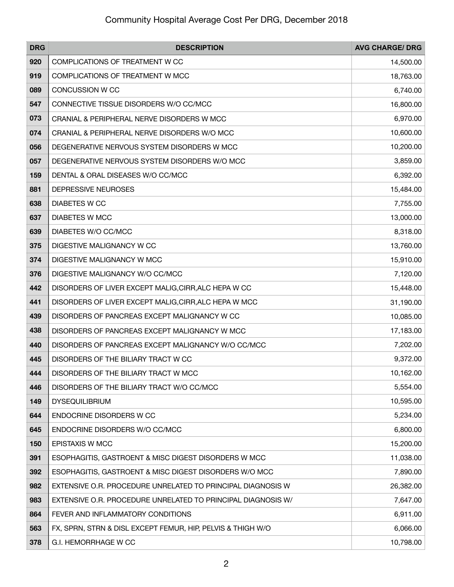| <b>DRG</b> | <b>DESCRIPTION</b>                                           | <b>AVG CHARGE/ DRG</b> |
|------------|--------------------------------------------------------------|------------------------|
| 920        | COMPLICATIONS OF TREATMENT W CC                              | 14,500.00              |
| 919        | COMPLICATIONS OF TREATMENT W MCC                             | 18,763.00              |
| 089        | <b>CONCUSSION W CC</b>                                       | 6,740.00               |
| 547        | CONNECTIVE TISSUE DISORDERS W/O CC/MCC                       | 16,800.00              |
| 073        | CRANIAL & PERIPHERAL NERVE DISORDERS W MCC                   | 6,970.00               |
| 074        | CRANIAL & PERIPHERAL NERVE DISORDERS W/O MCC                 | 10,600.00              |
| 056        | DEGENERATIVE NERVOUS SYSTEM DISORDERS W MCC                  | 10,200.00              |
| 057        | DEGENERATIVE NERVOUS SYSTEM DISORDERS W/O MCC                | 3,859.00               |
| 159        | DENTAL & ORAL DISEASES W/O CC/MCC                            | 6,392.00               |
| 881        | DEPRESSIVE NEUROSES                                          | 15,484.00              |
| 638        | <b>DIABETES W CC</b>                                         | 7,755.00               |
| 637        | <b>DIABETES W MCC</b>                                        | 13,000.00              |
| 639        | DIABETES W/O CC/MCC                                          | 8,318.00               |
| 375        | DIGESTIVE MALIGNANCY W CC                                    | 13,760.00              |
| 374        | DIGESTIVE MALIGNANCY W MCC                                   | 15,910.00              |
| 376        | DIGESTIVE MALIGNANCY W/O CC/MCC                              | 7,120.00               |
| 442        | DISORDERS OF LIVER EXCEPT MALIG, CIRR, ALC HEPA W CC         | 15,448.00              |
| 441        | DISORDERS OF LIVER EXCEPT MALIG, CIRR, ALC HEPA W MCC        | 31,190.00              |
| 439        | DISORDERS OF PANCREAS EXCEPT MALIGNANCY W CC                 | 10,085.00              |
| 438        | DISORDERS OF PANCREAS EXCEPT MALIGNANCY W MCC                | 17,183.00              |
| 440        | DISORDERS OF PANCREAS EXCEPT MALIGNANCY W/O CC/MCC           | 7,202.00               |
| 445        | DISORDERS OF THE BILIARY TRACT W CC                          | 9,372.00               |
| 444        | DISORDERS OF THE BILIARY TRACT W MCC                         | 10,162.00              |
| 446        | DISORDERS OF THE BILIARY TRACT W/O CC/MCC                    | 5,554.00               |
| 149        | <b>DYSEQUILIBRIUM</b>                                        | 10,595.00              |
| 644        | ENDOCRINE DISORDERS W CC                                     | 5,234.00               |
| 645        | ENDOCRINE DISORDERS W/O CC/MCC                               | 6,800.00               |
| 150        | EPISTAXIS W MCC                                              | 15,200.00              |
| 391        | ESOPHAGITIS, GASTROENT & MISC DIGEST DISORDERS W MCC         | 11,038.00              |
| 392        | ESOPHAGITIS, GASTROENT & MISC DIGEST DISORDERS W/O MCC       | 7,890.00               |
| 982        | EXTENSIVE O.R. PROCEDURE UNRELATED TO PRINCIPAL DIAGNOSIS W  | 26,382.00              |
| 983        | EXTENSIVE O.R. PROCEDURE UNRELATED TO PRINCIPAL DIAGNOSIS W/ | 7,647.00               |
| 864        | FEVER AND INFLAMMATORY CONDITIONS                            | 6,911.00               |
| 563        | FX, SPRN, STRN & DISL EXCEPT FEMUR, HIP, PELVIS & THIGH W/O  | 6,066.00               |
| 378        | G.I. HEMORRHAGE W CC                                         | 10,798.00              |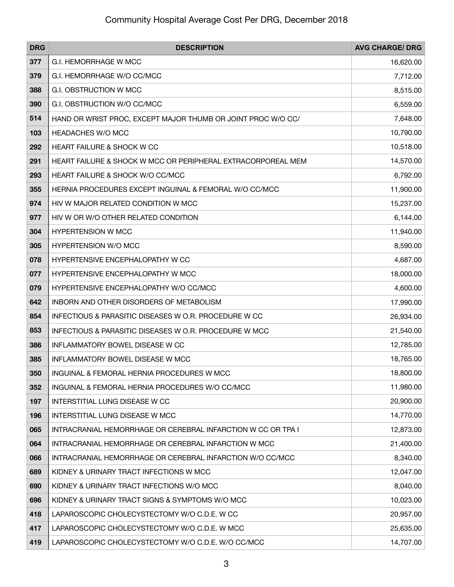| <b>DRG</b> | <b>DESCRIPTION</b>                                           | <b>AVG CHARGE/ DRG</b> |
|------------|--------------------------------------------------------------|------------------------|
| 377        | G.I. HEMORRHAGE W MCC                                        | 16,620.00              |
| 379        | G.I. HEMORRHAGE W/O CC/MCC                                   | 7,712.00               |
| 388        | G.I. OBSTRUCTION W MCC                                       | 8,515.00               |
| 390        | G.I. OBSTRUCTION W/O CC/MCC                                  | 6,559.00               |
| 514        | HAND OR WRIST PROC, EXCEPT MAJOR THUMB OR JOINT PROC W/O CC/ | 7,648.00               |
| 103        | <b>HEADACHES W/O MCC</b>                                     | 10,790.00              |
| 292        | <b>HEART FAILURE &amp; SHOCK W CC</b>                        | 10,518.00              |
| 291        | HEART FAILURE & SHOCK W MCC OR PERIPHERAL EXTRACORPOREAL MEM | 14,570.00              |
| 293        | HEART FAILURE & SHOCK W/O CC/MCC                             | 6,792.00               |
| 355        | HERNIA PROCEDURES EXCEPT INGUINAL & FEMORAL W/O CC/MCC       | 11,900.00              |
| 974        | HIV W MAJOR RELATED CONDITION W MCC                          | 15,237.00              |
| 977        | HIV W OR W/O OTHER RELATED CONDITION                         | 6,144.00               |
| 304        | <b>HYPERTENSION W MCC</b>                                    | 11,940.00              |
| 305        | <b>HYPERTENSION W/O MCC</b>                                  | 8,590.00               |
| 078        | HYPERTENSIVE ENCEPHALOPATHY W CC                             | 4,687.00               |
| 077        | HYPERTENSIVE ENCEPHALOPATHY W MCC                            | 18,000.00              |
| 079        | HYPERTENSIVE ENCEPHALOPATHY W/O CC/MCC                       | 4,600.00               |
| 642        | INBORN AND OTHER DISORDERS OF METABOLISM                     | 17,990.00              |
| 854        | INFECTIOUS & PARASITIC DISEASES W O.R. PROCEDURE W CC        | 26,934.00              |
| 853        | INFECTIOUS & PARASITIC DISEASES W O.R. PROCEDURE W MCC       | 21,540.00              |
| 386        | INFLAMMATORY BOWEL DISEASE W CC                              | 12,785.00              |
| 385        | INFLAMMATORY BOWEL DISEASE W MCC                             | 18,765.00              |
| 350        | INGUINAL & FEMORAL HERNIA PROCEDURES W MCC                   | 18,800.00              |
| 352        | INGUINAL & FEMORAL HERNIA PROCEDURES W/O CC/MCC              | 11,980.00              |
| 197        | INTERSTITIAL LUNG DISEASE W CC                               | 20,900.00              |
| 196        | INTERSTITIAL LUNG DISEASE W MCC                              | 14,770.00              |
| 065        | INTRACRANIAL HEMORRHAGE OR CEREBRAL INFARCTION W CC OR TPA I | 12,873.00              |
| 064        | INTRACRANIAL HEMORRHAGE OR CEREBRAL INFARCTION W MCC         | 21,400.00              |
| 066        | INTRACRANIAL HEMORRHAGE OR CEREBRAL INFARCTION W/O CC/MCC    | 8,340.00               |
| 689        | KIDNEY & URINARY TRACT INFECTIONS W MCC                      | 12,047.00              |
| 690        | KIDNEY & URINARY TRACT INFECTIONS W/O MCC                    | 8,040.00               |
| 696        | KIDNEY & URINARY TRACT SIGNS & SYMPTOMS W/O MCC              | 10,023.00              |
| 418        | LAPAROSCOPIC CHOLECYSTECTOMY W/O C.D.E. W CC                 | 20,957.00              |
| 417        | LAPAROSCOPIC CHOLECYSTECTOMY W/O C.D.E. W MCC                | 25,635.00              |
| 419        | LAPAROSCOPIC CHOLECYSTECTOMY W/O C.D.E. W/O CC/MCC           | 14,707.00              |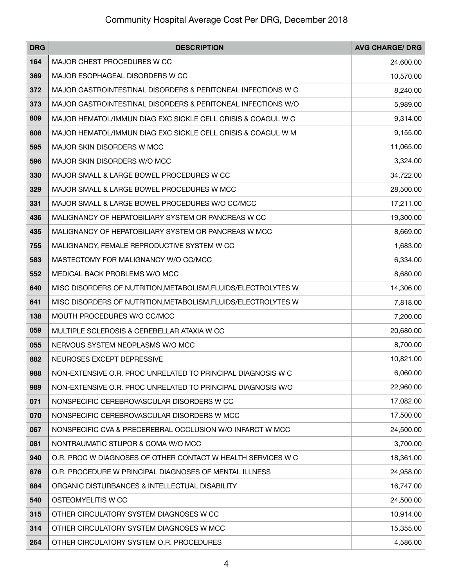| <b>DRG</b> | <b>DESCRIPTION</b>                                             | <b>AVG CHARGE/ DRG</b> |
|------------|----------------------------------------------------------------|------------------------|
| 164        | MAJOR CHEST PROCEDURES W CC                                    | 24,600.00              |
| 369        | MAJOR ESOPHAGEAL DISORDERS W CC                                | 10,570.00              |
| 372        | MAJOR GASTROINTESTINAL DISORDERS & PERITONEAL INFECTIONS W C   | 8,240.00               |
| 373        | MAJOR GASTROINTESTINAL DISORDERS & PERITONEAL INFECTIONS W/O   | 5,989.00               |
| 809        | MAJOR HEMATOL/IMMUN DIAG EXC SICKLE CELL CRISIS & COAGUL W C   | 9,314.00               |
| 808        | MAJOR HEMATOL/IMMUN DIAG EXC SICKLE CELL CRISIS & COAGUL W M   | 9,155.00               |
| 595        | MAJOR SKIN DISORDERS W MCC                                     | 11,065.00              |
| 596        | MAJOR SKIN DISORDERS W/O MCC                                   | 3,324.00               |
| 330        | MAJOR SMALL & LARGE BOWEL PROCEDURES W CC                      | 34,722.00              |
| 329        | MAJOR SMALL & LARGE BOWEL PROCEDURES W MCC                     | 28,500.00              |
| 331        | MAJOR SMALL & LARGE BOWEL PROCEDURES W/O CC/MCC                | 17,211.00              |
| 436        | MALIGNANCY OF HEPATOBILIARY SYSTEM OR PANCREAS W CC            | 19,300.00              |
| 435        | MALIGNANCY OF HEPATOBILIARY SYSTEM OR PANCREAS W MCC           | 8,669.00               |
| 755        | MALIGNANCY, FEMALE REPRODUCTIVE SYSTEM W CC                    | 1,683.00               |
| 583        | MASTECTOMY FOR MALIGNANCY W/O CC/MCC                           | 6,334.00               |
| 552        | MEDICAL BACK PROBLEMS W/O MCC                                  | 8,680.00               |
| 640        | MISC DISORDERS OF NUTRITION, METABOLISM, FLUIDS/ELECTROLYTES W | 14,306.00              |
| 641        | MISC DISORDERS OF NUTRITION, METABOLISM, FLUIDS/ELECTROLYTES W | 7,818.00               |
| 138        | MOUTH PROCEDURES W/O CC/MCC                                    | 7,200.00               |
| 059        | MULTIPLE SCLEROSIS & CEREBELLAR ATAXIA W CC                    | 20,680.00              |
| 055        | NERVOUS SYSTEM NEOPLASMS W/O MCC                               | 8,700.00               |
| 882        | NEUROSES EXCEPT DEPRESSIVE                                     | 10,821.00              |
| 988        | NON-EXTENSIVE O.R. PROC UNRELATED TO PRINCIPAL DIAGNOSIS W C   | 6,060.00               |
| 989        | NON-EXTENSIVE O.R. PROC UNRELATED TO PRINCIPAL DIAGNOSIS W/O   | 22,960.00              |
| 071        | NONSPECIFIC CEREBROVASCULAR DISORDERS W CC                     | 17,082.00              |
| 070        | NONSPECIFIC CEREBROVASCULAR DISORDERS W MCC                    | 17,500.00              |
| 067        | NONSPECIFIC CVA & PRECEREBRAL OCCLUSION W/O INFARCT W MCC      | 24,500.00              |
| 081        | NONTRAUMATIC STUPOR & COMA W/O MCC                             | 3,700.00               |
| 940        | O.R. PROC W DIAGNOSES OF OTHER CONTACT W HEALTH SERVICES W C   | 18,361.00              |
| 876        | O.R. PROCEDURE W PRINCIPAL DIAGNOSES OF MENTAL ILLNESS         | 24,958.00              |
| 884        | ORGANIC DISTURBANCES & INTELLECTUAL DISABILITY                 | 16,747.00              |
| 540        | OSTEOMYELITIS W CC                                             | 24,500.00              |
| 315        | OTHER CIRCULATORY SYSTEM DIAGNOSES W CC                        | 10,914.00              |
| 314        | OTHER CIRCULATORY SYSTEM DIAGNOSES W MCC                       | 15,355.00              |
| 264        | OTHER CIRCULATORY SYSTEM O.R. PROCEDURES                       | 4,586.00               |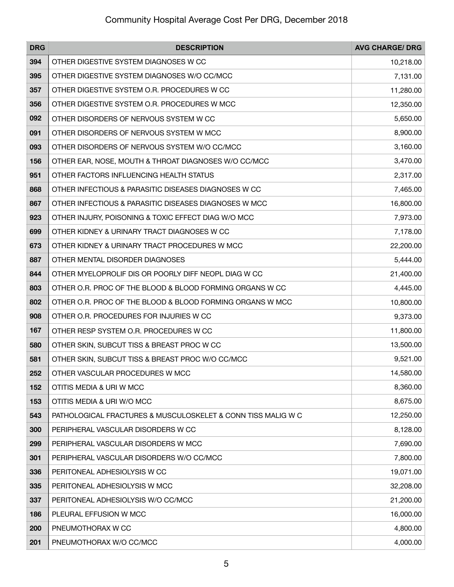| <b>DRG</b> | <b>DESCRIPTION</b>                                           | <b>AVG CHARGE/ DRG</b> |
|------------|--------------------------------------------------------------|------------------------|
| 394        | OTHER DIGESTIVE SYSTEM DIAGNOSES W CC                        | 10,218.00              |
| 395        | OTHER DIGESTIVE SYSTEM DIAGNOSES W/O CC/MCC                  | 7,131.00               |
| 357        | OTHER DIGESTIVE SYSTEM O.R. PROCEDURES W CC                  | 11,280.00              |
| 356        | OTHER DIGESTIVE SYSTEM O.R. PROCEDURES W MCC                 | 12,350.00              |
| 092        | OTHER DISORDERS OF NERVOUS SYSTEM W CC                       | 5,650.00               |
| 091        | OTHER DISORDERS OF NERVOUS SYSTEM W MCC                      | 8,900.00               |
| 093        | OTHER DISORDERS OF NERVOUS SYSTEM W/O CC/MCC                 | 3,160.00               |
| 156        | OTHER EAR, NOSE, MOUTH & THROAT DIAGNOSES W/O CC/MCC         | 3,470.00               |
| 951        | OTHER FACTORS INFLUENCING HEALTH STATUS                      | 2,317.00               |
| 868        | OTHER INFECTIOUS & PARASITIC DISEASES DIAGNOSES W CC         | 7,465.00               |
| 867        | OTHER INFECTIOUS & PARASITIC DISEASES DIAGNOSES W MCC        | 16,800.00              |
| 923        | OTHER INJURY, POISONING & TOXIC EFFECT DIAG W/O MCC          | 7,973.00               |
| 699        | OTHER KIDNEY & URINARY TRACT DIAGNOSES W CC                  | 7,178.00               |
| 673        | OTHER KIDNEY & URINARY TRACT PROCEDURES W MCC                | 22,200.00              |
| 887        | OTHER MENTAL DISORDER DIAGNOSES                              | 5,444.00               |
| 844        | OTHER MYELOPROLIF DIS OR POORLY DIFF NEOPL DIAG W CC         | 21,400.00              |
| 803        | OTHER O.R. PROC OF THE BLOOD & BLOOD FORMING ORGANS W CC     | 4,445.00               |
| 802        | OTHER O.R. PROC OF THE BLOOD & BLOOD FORMING ORGANS W MCC    | 10,800.00              |
| 908        | OTHER O.R. PROCEDURES FOR INJURIES W CC                      | 9,373.00               |
| 167        | OTHER RESP SYSTEM O.R. PROCEDURES W CC                       | 11,800.00              |
| 580        | OTHER SKIN, SUBCUT TISS & BREAST PROC W CC                   | 13,500.00              |
| 581        | OTHER SKIN, SUBCUT TISS & BREAST PROC W/O CC/MCC             | 9,521.00               |
| 252        | OTHER VASCULAR PROCEDURES W MCC                              | 14,580.00              |
| 152        | OTITIS MEDIA & URI W MCC                                     | 8,360.00               |
| 153        | OTITIS MEDIA & URI W/O MCC                                   | 8,675.00               |
| 543        | PATHOLOGICAL FRACTURES & MUSCULOSKELET & CONN TISS MALIG W C | 12,250.00              |
| 300        | PERIPHERAL VASCULAR DISORDERS W CC                           | 8,128.00               |
| 299        | PERIPHERAL VASCULAR DISORDERS W MCC                          | 7,690.00               |
| 301        | PERIPHERAL VASCULAR DISORDERS W/O CC/MCC                     | 7,800.00               |
| 336        | PERITONEAL ADHESIOLYSIS W CC                                 | 19,071.00              |
| 335        | PERITONEAL ADHESIOLYSIS W MCC                                | 32,208.00              |
| 337        | PERITONEAL ADHESIOLYSIS W/O CC/MCC                           | 21,200.00              |
| 186        | PLEURAL EFFUSION W MCC                                       | 16,000.00              |
| 200        | PNEUMOTHORAX W CC                                            | 4,800.00               |
| 201        | PNEUMOTHORAX W/O CC/MCC                                      | 4,000.00               |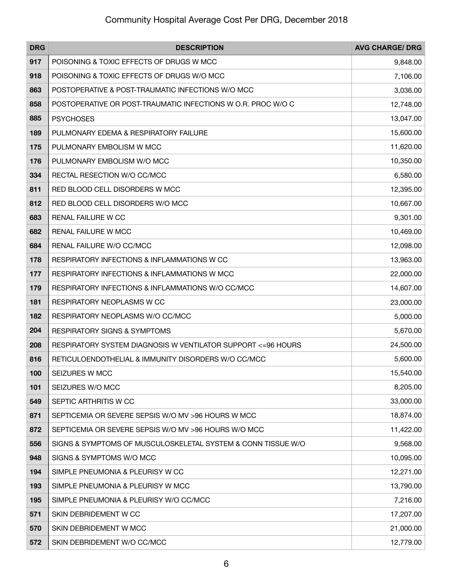| <b>DRG</b> | <b>DESCRIPTION</b>                                            | <b>AVG CHARGE/ DRG</b> |
|------------|---------------------------------------------------------------|------------------------|
| 917        | POISONING & TOXIC EFFECTS OF DRUGS W MCC                      | 9,848.00               |
| 918        | POISONING & TOXIC EFFECTS OF DRUGS W/O MCC                    | 7,106.00               |
| 863        | POSTOPERATIVE & POST-TRAUMATIC INFECTIONS W/O MCC             | 3,036.00               |
| 858        | POSTOPERATIVE OR POST-TRAUMATIC INFECTIONS W O.R. PROC W/O C  | 12,748.00              |
| 885        | <b>PSYCHOSES</b>                                              | 13,047.00              |
| 189        | PULMONARY EDEMA & RESPIRATORY FAILURE                         | 15,600.00              |
| 175        | PULMONARY EMBOLISM W MCC                                      | 11,620.00              |
| 176        | PULMONARY EMBOLISM W/O MCC                                    | 10,350.00              |
| 334        | RECTAL RESECTION W/O CC/MCC                                   | 6,580.00               |
| 811        | RED BLOOD CELL DISORDERS W MCC                                | 12,395.00              |
| 812        | RED BLOOD CELL DISORDERS W/O MCC                              | 10,667.00              |
| 683        | RENAL FAILURE W CC                                            | 9,301.00               |
| 682        | RENAL FAILURE W MCC                                           | 10,469.00              |
| 684        | RENAL FAILURE W/O CC/MCC                                      | 12,098.00              |
| 178        | RESPIRATORY INFECTIONS & INFLAMMATIONS W CC                   | 13,963.00              |
| 177        | RESPIRATORY INFECTIONS & INFLAMMATIONS W MCC                  | 22,000.00              |
| 179        | RESPIRATORY INFECTIONS & INFLAMMATIONS W/O CC/MCC             | 14,607.00              |
| 181        | RESPIRATORY NEOPLASMS W CC                                    | 23,000.00              |
| 182        | RESPIRATORY NEOPLASMS W/O CC/MCC                              | 5,000.00               |
| 204        | <b>RESPIRATORY SIGNS &amp; SYMPTOMS</b>                       | 5,670.00               |
| 208        | RESPIRATORY SYSTEM DIAGNOSIS W VENTILATOR SUPPORT <= 96 HOURS | 24,500.00              |
| 816        | RETICULOENDOTHELIAL & IMMUNITY DISORDERS W/O CC/MCC           | 5,600.00               |
| 100        | SEIZURES W MCC                                                | 15,540.00              |
| 101        | SEIZURES W/O MCC                                              | 8,205.00               |
| 549        | SEPTIC ARTHRITIS W CC                                         | 33,000.00              |
| 871        | SEPTICEMIA OR SEVERE SEPSIS W/O MV >96 HOURS W MCC            | 18,874.00              |
| 872        | SEPTICEMIA OR SEVERE SEPSIS W/O MV >96 HOURS W/O MCC          | 11,422.00              |
| 556        | SIGNS & SYMPTOMS OF MUSCULOSKELETAL SYSTEM & CONN TISSUE W/O  | 9,568.00               |
| 948        | SIGNS & SYMPTOMS W/O MCC                                      | 10,095.00              |
| 194        | SIMPLE PNEUMONIA & PLEURISY W CC                              | 12,271.00              |
| 193        | SIMPLE PNEUMONIA & PLEURISY W MCC                             | 13,790.00              |
| 195        | SIMPLE PNEUMONIA & PLEURISY W/O CC/MCC                        | 7,216.00               |
| 571        | SKIN DEBRIDEMENT W CC                                         | 17,207.00              |
| 570        | SKIN DEBRIDEMENT W MCC                                        | 21,000.00              |
| 572        | SKIN DEBRIDEMENT W/O CC/MCC                                   | 12,779.00              |